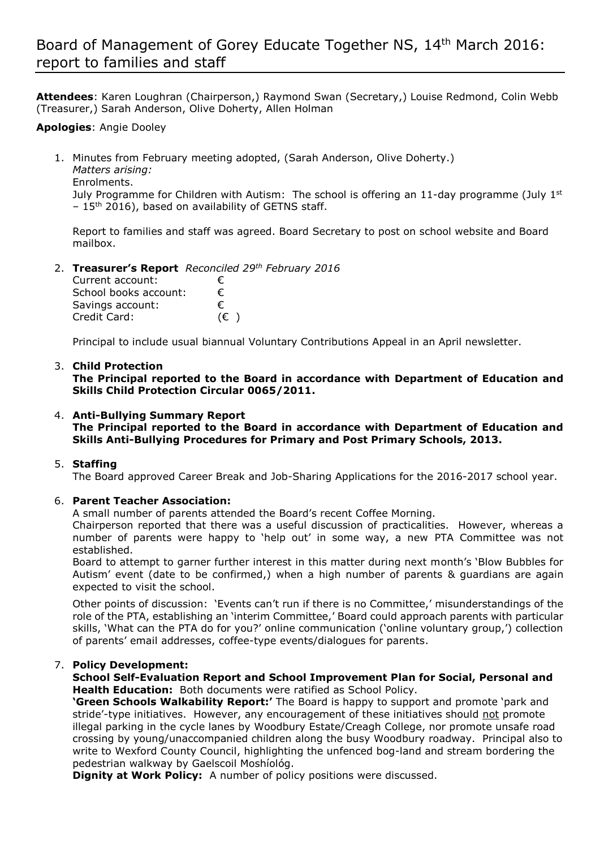## Board of Management of Gorey Educate Together NS, 14th March 2016: report to families and staff

**Attendees**: Karen Loughran (Chairperson,) Raymond Swan (Secretary,) Louise Redmond, Colin Webb (Treasurer,) Sarah Anderson, Olive Doherty, Allen Holman

**Apologies**: Angie Dooley

1. Minutes from February meeting adopted, (Sarah Anderson, Olive Doherty.) *Matters arising:* Enrolments.

July Programme for Children with Autism: The school is offering an 11-day programme (July  $1<sup>st</sup>$ – 15<sup>th</sup> 2016), based on availability of GETNS staff.

Report to families and staff was agreed. Board Secretary to post on school website and Board mailbox.

2. **Treasurer's Report** *Reconciled 29th February 2016*

| Current account:      | €   |
|-----------------------|-----|
| School books account: | €   |
| Savings account:      | €   |
| Credit Card:          | (€) |

Principal to include usual biannual Voluntary Contributions Appeal in an April newsletter.

#### 3. **Child Protection**

**The Principal reported to the Board in accordance with Department of Education and Skills Child Protection Circular 0065/2011.**

#### 4. **Anti-Bullying Summary Report The Principal reported to the Board in accordance with Department of Education and Skills Anti-Bullying Procedures for Primary and Post Primary Schools, 2013.**

### 5. **Staffing**

The Board approved Career Break and Job-Sharing Applications for the 2016-2017 school year.

#### 6. **Parent Teacher Association:**

A small number of parents attended the Board's recent Coffee Morning.

Chairperson reported that there was a useful discussion of practicalities. However, whereas a number of parents were happy to 'help out' in some way, a new PTA Committee was not established.

Board to attempt to garner further interest in this matter during next month's 'Blow Bubbles for Autism' event (date to be confirmed,) when a high number of parents & guardians are again expected to visit the school.

Other points of discussion: 'Events can't run if there is no Committee,' misunderstandings of the role of the PTA, establishing an 'interim Committee,' Board could approach parents with particular skills, 'What can the PTA do for you?' online communication ('online voluntary group,') collection of parents' email addresses, coffee-type events/dialogues for parents.

#### 7. **Policy Development:**

**School Self-Evaluation Report and School Improvement Plan for Social, Personal and Health Education:** Both documents were ratified as School Policy.

**'Green Schools Walkability Report:'** The Board is happy to support and promote 'park and stride'-type initiatives. However, any encouragement of these initiatives should not promote illegal parking in the cycle lanes by Woodbury Estate/Creagh College, nor promote unsafe road crossing by young/unaccompanied children along the busy Woodbury roadway. Principal also to write to Wexford County Council, highlighting the unfenced bog-land and stream bordering the pedestrian walkway by Gaelscoil Moshíológ.

**Dignity at Work Policy:** A number of policy positions were discussed.